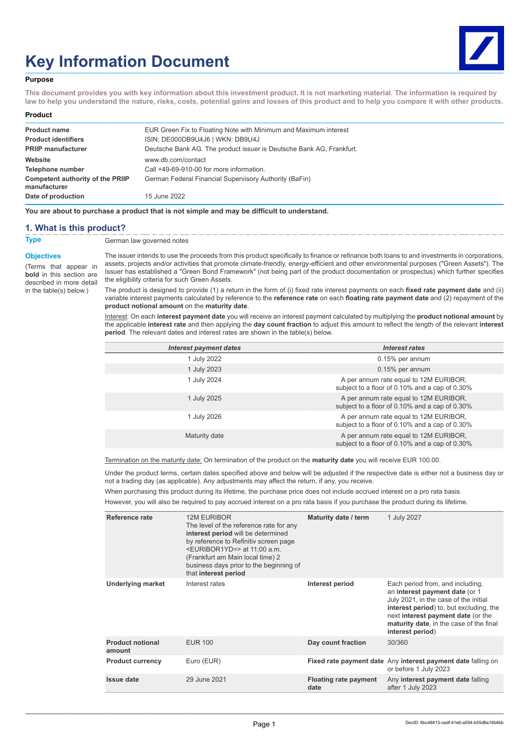# **Key Information Document**



#### **Purpose**

**This document provides you with key information about this investment product. It is not marketing material. The information is required by law to help you understand the nature, risks, costs, potential gains and losses of this product and to help you compare it with other products.**

#### **Product**

| <b>Product name</b>                                     | EUR Green Fix to Floating Note with Minimum and Maximum interest     |
|---------------------------------------------------------|----------------------------------------------------------------------|
| <b>Product identifiers</b>                              | ISIN: DE000DB9U4J6   WKN: DB9U4J                                     |
| <b>PRIIP manufacturer</b>                               | Deutsche Bank AG. The product issuer is Deutsche Bank AG, Frankfurt. |
| Website                                                 | www.db.com/contact                                                   |
| Telephone number                                        | Call +49-69-910-00 for more information.                             |
| <b>Competent authority of the PRIIP</b><br>manufacturer | German Federal Financial Supervisory Authority (BaFin)               |
| Date of production                                      | 15 June 2022                                                         |

**You are about to purchase a product that is not simple and may be difficult to understand.**

#### **1. What is this product?**

#### **Objectives**

(Terms that appear in **bold** in this section are described in more detail in the table(s) below.)

**Type** German law governed notes

The issuer intends to use the proceeds from this product specifically to finance or refinance both loans to and investments in corporations, assets, projects and/or activities that promote climate-friendly, energy-efficient and other environmental purposes ("Green Assets"). The Issuer has established a "Green Bond Framework" (not being part of the product documentation or prospectus) which further specifies the eligibility criteria for such Green Assets.

The product is designed to provide (1) a return in the form of (i) fixed rate interest payments on each **fixed rate payment date** and (ii) variable interest payments calculated by reference to the **reference rate** on each **floating rate payment date** and (2) repayment of the **product notional amount** on the **maturity date**.

Interest: On each **interest payment date** you will receive an interest payment calculated by multiplying the **product notional amount** by the applicable **interest rate** and then applying the **day count fraction** to adjust this amount to reflect the length of the relevant **interest period**. The relevant dates and interest rates are shown in the table(s) below.

| <b>Interest payment dates</b> | Interest rates                                                                           |
|-------------------------------|------------------------------------------------------------------------------------------|
| 1 July 2022                   | 0.15% per annum                                                                          |
| 1 July 2023                   | 0.15% per annum                                                                          |
| 1 July 2024                   | A per annum rate equal to 12M EURIBOR,<br>subject to a floor of 0.10% and a cap of 0.30% |
| 1 July 2025                   | A per annum rate equal to 12M EURIBOR,<br>subject to a floor of 0.10% and a cap of 0.30% |
| 1 July 2026                   | A per annum rate equal to 12M EURIBOR,<br>subject to a floor of 0.10% and a cap of 0.30% |
| Maturity date                 | A per annum rate equal to 12M EURIBOR,<br>subject to a floor of 0.10% and a cap of 0.30% |

Termination on the maturity date: On termination of the product on the **maturity date** you will receive EUR 100.00.

Under the product terms, certain dates specified above and below will be adjusted if the respective date is either not a business day or not a trading day (as applicable). Any adjustments may affect the return, if any, you receive.

When purchasing this product during its lifetime, the purchase price does not include accrued interest on a pro rata basis.

However, you will also be required to pay accrued interest on a pro rata basis if you purchase the product during its lifetime.

| Reference rate                    | <b>12M EURIBOR</b><br>The level of the reference rate for any<br>interest period will be determined<br>by reference to Refinitiv screen page<br><euribor1yd=> at 11:00 a.m.<br/>(Frankfurt am Main local time) 2<br/>business days prior to the beginning of<br/>that interest period</euribor1yd=> | Maturity date / term                 | 1 July 2027                                                                                                                                                                                                                                                 |
|-----------------------------------|-----------------------------------------------------------------------------------------------------------------------------------------------------------------------------------------------------------------------------------------------------------------------------------------------------|--------------------------------------|-------------------------------------------------------------------------------------------------------------------------------------------------------------------------------------------------------------------------------------------------------------|
| <b>Underlying market</b>          | Interest rates                                                                                                                                                                                                                                                                                      | Interest period                      | Each period from, and including,<br>an interest payment date (or 1<br>July 2021, in the case of the initial<br>interest period) to, but excluding, the<br>next interest payment date (or the<br>maturity date, in the case of the final<br>interest period) |
| <b>Product notional</b><br>amount | <b>EUR 100</b>                                                                                                                                                                                                                                                                                      | Day count fraction                   | 30/360                                                                                                                                                                                                                                                      |
| <b>Product currency</b>           | Euro (EUR)                                                                                                                                                                                                                                                                                          |                                      | Fixed rate payment date Any interest payment date falling on<br>or before 1 July 2023                                                                                                                                                                       |
| <b>Issue date</b>                 | 29 June 2021                                                                                                                                                                                                                                                                                        | <b>Floating rate payment</b><br>date | Any interest payment date falling<br>after 1 July 2023                                                                                                                                                                                                      |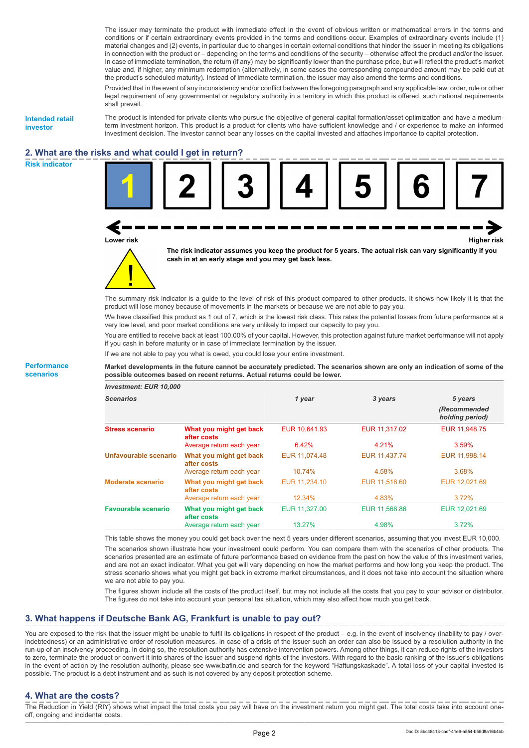The issuer may terminate the product with immediate effect in the event of obvious written or mathematical errors in the terms and conditions or if certain extraordinary events provided in the terms and conditions occur. Examples of extraordinary events include (1) material changes and (2) events, in particular due to changes in certain external conditions that hinder the issuer in meeting its obligations in connection with the product or – depending on the terms and conditions of the security – otherwise affect the product and/or the issuer. In case of immediate termination, the return (if any) may be significantly lower than the purchase price, but will reflect the product's market value and, if higher, any minimum redemption (alternatively, in some cases the corresponding compounded amount may be paid out at the product's scheduled maturity). Instead of immediate termination, the issuer may also amend the terms and conditions.

Provided that in the event of any inconsistency and/or conflict between the foregoing paragraph and any applicable law, order, rule or other legal requirement of any governmental or regulatory authority in a territory in which this product is offered, such national requirements shall prevail.

**Intended retail investor**

The product is intended for private clients who pursue the objective of general capital formation/asset optimization and have a mediumterm investment horizon. This product is a product for clients who have sufficient knowledge and / or experience to make an informed investment decision. The investor cannot bear any losses on the capital invested and attaches importance to capital protection.

### **2. What are the risks and what could I get in return? Risk indicator**



The summary risk indicator is a guide to the level of risk of this product compared to other products. It shows how likely it is that the product will lose money because of movements in the markets or because we are not able to pay you.

We have classified this product as 1 out of 7, which is the lowest risk class. This rates the potential losses from future performance at a very low level, and poor market conditions are very unlikely to impact our capacity to pay you.

You are entitled to receive back at least 100.00% of your capital. However, this protection against future market performance will not apply if you cash in before maturity or in case of immediate termination by the issuer.

If we are not able to pay you what is owed, you could lose your entire investment.

**Market developments in the future cannot be accurately predicted. The scenarios shown are only an indication of some of the possible outcomes based on recent returns. Actual returns could be lower.**

| Investment: EUR 10,000     |                                        |               |               |                                 |
|----------------------------|----------------------------------------|---------------|---------------|---------------------------------|
| <b>Scenarios</b>           |                                        | 1 year        | 3 years       | 5 years                         |
|                            |                                        |               |               | (Recommended<br>holding period) |
| <b>Stress scenario</b>     | What you might get back<br>after costs | EUR 10.641.93 | EUR 11.317.02 | EUR 11,948.75                   |
|                            | Average return each year               | 6.42%         | 4.21%         | 3.59%                           |
| Unfavourable scenario      | What you might get back<br>after costs | EUR 11,074.48 | EUR 11,437.74 | EUR 11,998.14                   |
|                            | Average return each year               | 10.74%        | 4.58%         | 3.68%                           |
| <b>Moderate scenario</b>   | What you might get back<br>after costs | EUR 11,234.10 | EUR 11.518.60 | EUR 12,021.69                   |
|                            | Average return each year               | 12.34%        | 4.83%         | 3.72%                           |
| <b>Favourable scenario</b> | What you might get back<br>after costs | EUR 11,327.00 | EUR 11,568.86 | EUR 12,021.69                   |
|                            | Average return each year               | 13.27%        | 4.98%         | 3.72%                           |

This table shows the money you could get back over the next 5 years under different scenarios, assuming that you invest EUR 10,000. The scenarios shown illustrate how your investment could perform. You can compare them with the scenarios of other products. The scenarios presented are an estimate of future performance based on evidence from the past on how the value of this investment varies, and are not an exact indicator. What you get will vary depending on how the market performs and how long you keep the product. The stress scenario shows what you might get back in extreme market circumstances, and it does not take into account the situation where we are not able to pay you.

The figures shown include all the costs of the product itself, but may not include all the costs that you pay to your advisor or distributor. The figures do not take into account your personal tax situation, which may also affect how much you get back.

## **3. What happens if Deutsche Bank AG, Frankfurt is unable to pay out?**

You are exposed to the risk that the issuer might be unable to fulfil its obligations in respect of the product – e.g. in the event of insolvency (inability to pay / overindebtedness) or an administrative order of resolution measures. In case of a crisis of the issuer such an order can also be issued by a resolution authority in the run-up of an insolvency proceeding. In doing so, the resolution authority has extensive intervention powers. Among other things, it can reduce rights of the investors to zero, terminate the product or convert it into shares of the issuer and suspend rights of the investors. With regard to the basic ranking of the issuer's obligations in the event of action by the resolution authority, please see www.bafin.de and search for the keyword "Haftungskaskade". A total loss of your capital invested is possible. The product is a debt instrument and as such is not covered by any deposit protection scheme.

## **4. What are the costs?**

The Reduction in Yield (RIY) shows what impact the total costs you pay will have on the investment return you might get. The total costs take into account oneoff, ongoing and incidental costs.

**Performance scenarios**